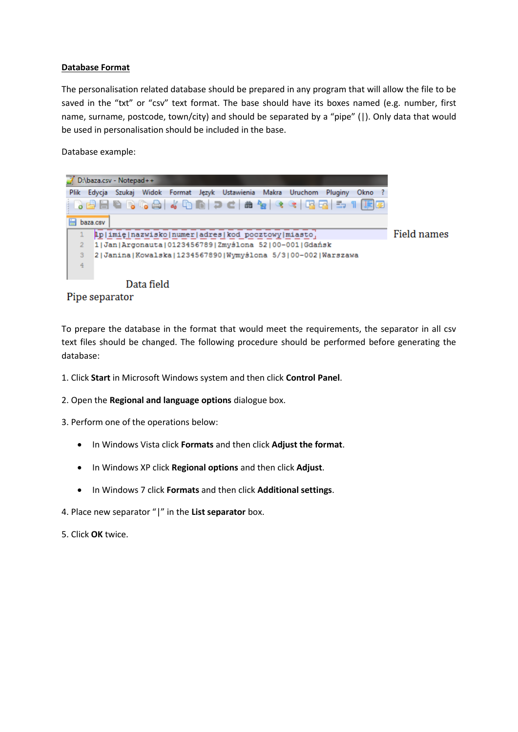## **Database Format**

The personalisation related database should be prepared in any program that will allow the file to be saved in the "txt" or "csv" text format. The base should have its boxes named (e.g. number, first name, surname, postcode, town/city) and should be separated by a "pipe" (|). Only data that would be used in personalisation should be included in the base.

Database example:







To prepare the database in the format that would meet the requirements, the separator in all csv text files should be changed. The following procedure should be performed before generating the database:

- 1. Click **Start** in Microsoft Windows system and then click **Control Panel**.
- 2. Open the **Regional and language options** dialogue box.
- 3. Perform one of the operations below:
	- In Windows Vista click **Formats** and then click **Adjust the format**.
	- In Windows XP click **Regional options** and then click **Adjust**.
	- In Windows 7 click **Formats** and then click **Additional settings**.
- 4. Place new separator "|" in the **List separator** box.

5. Click **OK** twice.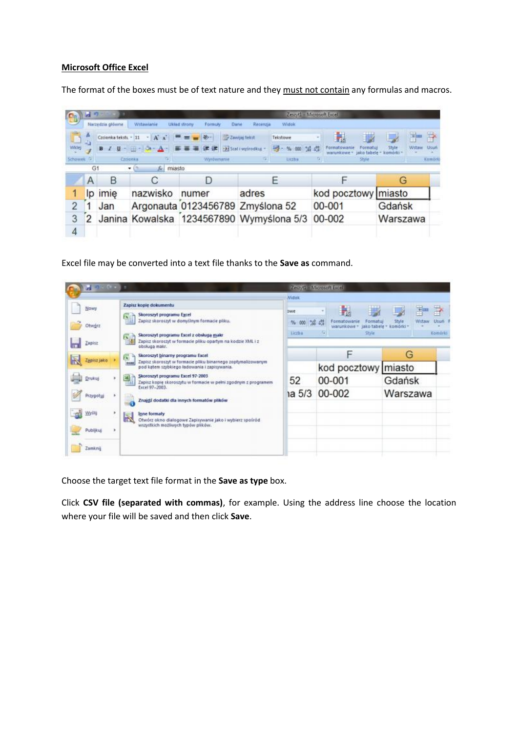## **Microsoft Office Excel**

The format of the boxes must be of text nature and they must not contain any formulas and macros.

| C <sub>n</sub> | 過り<br>Zestyt1 - Microsoft Excel                                                          |                      |                                |                                          |                      |                |                             |                                                |               |
|----------------|------------------------------------------------------------------------------------------|----------------------|--------------------------------|------------------------------------------|----------------------|----------------|-----------------------------|------------------------------------------------|---------------|
|                | Witawianie<br>Narzedzia główne<br>Widiok<br>Układ strony<br>Dáné<br>Récentria<br>Formuly |                      |                                |                                          |                      |                |                             |                                                |               |
| B.             |                                                                                          | Czcionka tekstu - 11 | $-$ A $\Lambda$                |                                          | <b>Zawijaj tekst</b> | Tekstowe       | H                           |                                                | R             |
| Wikiej         |                                                                                          |                      | $I$ U - $\Box$ - $\Box$        | 建建                                       | Scal i wyśrodkuj z   | 199 · % 000 编码 | Formatowanie<br>wwrunkowe ~ | Formatul.<br>Style<br>tamárki -<br>jako tabele | Usun<br>Wstaw |
| Schowek G      |                                                                                          |                      | Ezzionka                       | Wyrownanie                               |                      | <b>Urzba</b>   | <b>G</b>                    | Style                                          | Kumbek        |
|                | G1                                                                                       |                      | $f_{\text{sc}}$<br>miasto<br>۰ |                                          |                      |                |                             |                                                |               |
|                | A                                                                                        | в                    | С                              | D                                        |                      | ь              |                             | G                                              |               |
|                | Ip                                                                                       | imie                 | nazwisko                       | numer                                    | adres                |                |                             | kod pocztowy miasto                            |               |
| $\overline{2}$ |                                                                                          | Jan                  |                                | Argonauta 0123456789 Zmyślona 52         |                      |                | 00-001                      | Gdańsk                                         |               |
| 3              | 2                                                                                        |                      |                                | Janina Kowalska 1234567890 Wymyślona 5/3 |                      |                | 00-002                      | Warszawa                                       |               |
| 4              |                                                                                          |                      |                                |                                          |                      |                |                             |                                                |               |

Excel file may be converted into a text file thanks to the **Save as** command.

| $H(0,0,0)$ :                      |                                                                                                                  | Zear/t1 Microsoft Excel |            |                                                        |                             |                   |
|-----------------------------------|------------------------------------------------------------------------------------------------------------------|-------------------------|------------|--------------------------------------------------------|-----------------------------|-------------------|
|                                   |                                                                                                                  | Midak.                  |            |                                                        |                             |                   |
| Nowy                              | Zapisz kopie dokumentu                                                                                           |                         |            |                                                        |                             | ₽<br>重            |
|                                   | Skoroszyt programu Excel<br>$\overline{\mathbf{A}}$                                                              | <b>DWE</b>              |            |                                                        |                             |                   |
| Otworz                            | THE<br>Zapitz skoroszyt w domyślnym formacie pliku.                                                              | % 000                   | $-26 - 47$ | Formatowanie<br>Formatur<br>warunkowe -<br>jako tabele | Style<br>Wstaw<br>komorki - | Usun <sup>1</sup> |
|                                   | Skoroszyt programu Excel z obsługa makr<br>医前                                                                    | Liciba                  | fall       | Style                                                  |                             | Komária           |
| m<br>Zapisz                       | Zapisz skoroszyt w formacie pliku opartym na kodzie XML i z<br><b>TESS</b><br>obskuga makr.                      |                         |            |                                                        |                             |                   |
|                                   | Skoroszyt binarny programu Excel<br>阀                                                                            |                         | ⊏          |                                                        | G                           |                   |
| R<br>Zapisz jako                  | Zapisz skoroszyt w formacje pliku binarnego zopłymalizowanym<br>12050                                            |                         |            |                                                        |                             |                   |
|                                   | pod kątem szybkiego ładowania i zapisywania.                                                                     |                         |            | kod pocztowy miasto                                    |                             |                   |
| Drukuj                            | Skoroszyt programu Excel 97-2003<br>믶<br>Zapisz kopię skoroszytu w formacie w pełni zgodnym z programem          | 52                      |            | 00-001                                                 | Gdańsk                      |                   |
|                                   | Extel 97-2003.                                                                                                   | 1a 5/3                  |            | 00-002                                                 | Warszawa                    |                   |
| Przygotuj<br>$\ddot{\phantom{1}}$ | Znajdź dodatki dla innych formatów plików                                                                        |                         |            |                                                        |                             |                   |
| m<br>Wyllij                       | Inne formaty                                                                                                     |                         |            |                                                        |                             |                   |
|                                   | $\blacksquare$<br>Otwórz okno dialogowe Zapisywanie jako i wybierz spośród<br>wszystkich możliwych typów plików. |                         |            |                                                        |                             |                   |
| Publikuj                          |                                                                                                                  |                         |            |                                                        |                             |                   |
| Zamknij                           |                                                                                                                  |                         |            |                                                        |                             |                   |

Choose the target text file format in the **Save as type** box.

Click **CSV file (separated with commas)**, for example. Using the address line choose the location where your file will be saved and then click **Save**.